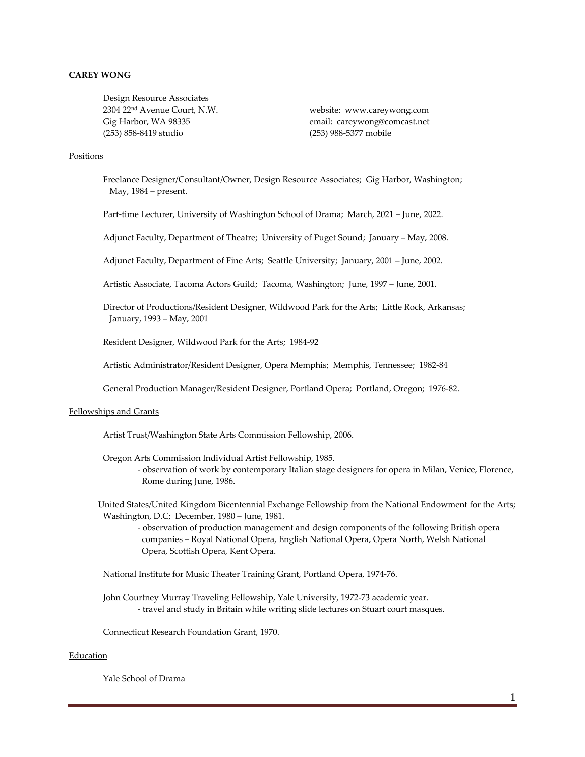## **CAREY WONG**

Design Resource Associates 2304 22nd Avenue Court, N.W. website: www.careywong.com (253) 858-8419 studio (253) 988-5377 mobile

Gig Harbor, WA 98335 email: careywong@comcast.net

## Positions

Freelance Designer/Consultant/Owner, Design Resource Associates; Gig Harbor, Washington; May, 1984 – present.

Part-time Lecturer, University of Washington School of Drama; March, 2021 – June, 2022.

Adjunct Faculty, Department of Theatre; University of Puget Sound; January – May, 2008.

Adjunct Faculty, Department of Fine Arts; Seattle University; January, 2001 – June, 2002.

Artistic Associate, Tacoma Actors Guild; Tacoma, Washington; June, 1997 – June, 2001.

Director of Productions/Resident Designer, Wildwood Park for the Arts; Little Rock, Arkansas; January, 1993 – May, 2001

Resident Designer, Wildwood Park for the Arts; 1984-92

Artistic Administrator/Resident Designer, Opera Memphis; Memphis, Tennessee; 1982-84

General Production Manager/Resident Designer, Portland Opera; Portland, Oregon; 1976-82.

#### Fellowships and Grants

Artist Trust/Washington State Arts Commission Fellowship, 2006.

Oregon Arts Commission Individual Artist Fellowship, 1985. - observation of work by contemporary Italian stage designers for opera in Milan, Venice, Florence, Rome during June, 1986.

United States/United Kingdom Bicentennial Exchange Fellowship from the National Endowment for the Arts; Washington, D.C; December, 1980 – June, 1981.

- observation of production management and design components of the following British opera companies – Royal National Opera, English National Opera, Opera North, Welsh National Opera, Scottish Opera, Kent Opera.

National Institute for Music Theater Training Grant, Portland Opera, 1974-76.

John Courtney Murray Traveling Fellowship, Yale University, 1972-73 academic year. - travel and study in Britain while writing slide lectures on Stuart court masques.

Connecticut Research Foundation Grant, 1970.

#### Education

Yale School of Drama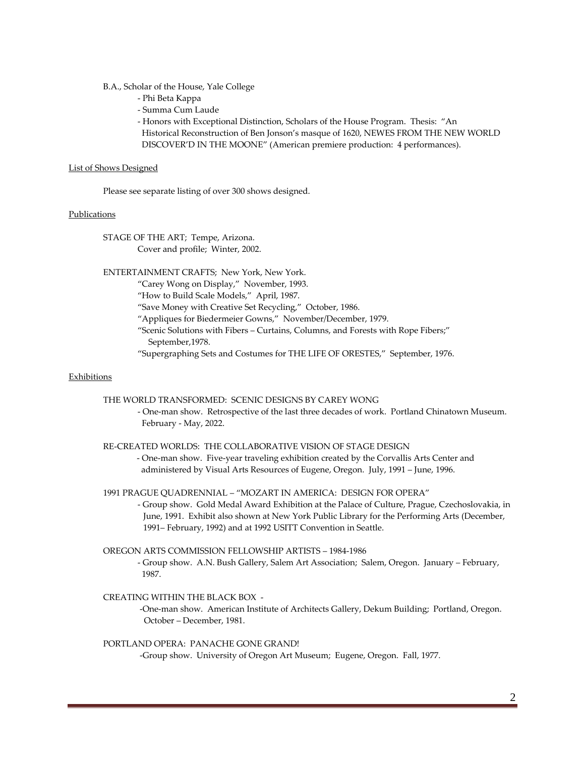B.A., Scholar of the House, Yale College

- Phi Beta Kappa
- Summa Cum Laude
- Honors with Exceptional Distinction, Scholars of the House Program. Thesis: "An
- Historical Reconstruction of Ben Jonson's masque of 1620, NEWES FROM THE NEW WORLD DISCOVER'D IN THE MOONE" (American premiere production: 4 performances).

## List of Shows Designed

Please see separate listing of over 300 shows designed.

## Publications

STAGE OF THE ART; Tempe, Arizona.

Cover and profile; Winter, 2002.

ENTERTAINMENT CRAFTS; New York, New York.

"Carey Wong on Display," November, 1993.

"How to Build Scale Models," April, 1987.

"Save Money with Creative Set Recycling," October, 1986.

"Appliques for Biedermeier Gowns," November/December, 1979.

"Scenic Solutions with Fibers – Curtains, Columns, and Forests with Rope Fibers;" September,1978.

"Supergraphing Sets and Costumes for THE LIFE OF ORESTES," September, 1976.

#### **Exhibitions**

THE WORLD TRANSFORMED: SCENIC DESIGNS BY CAREY WONG

- One-man show. Retrospective of the last three decades of work. Portland Chinatown Museum. February - May, 2022.

#### RE-CREATED WORLDS: THE COLLABORATIVE VISION OF STAGE DESIGN

- One-man show. Five-year traveling exhibition created by the Corvallis Arts Center and administered by Visual Arts Resources of Eugene, Oregon. July, 1991 – June, 1996.

1991 PRAGUE QUADRENNIAL – "MOZART IN AMERICA: DESIGN FOR OPERA"

- Group show. Gold Medal Award Exhibition at the Palace of Culture, Prague, Czechoslovakia, in June, 1991. Exhibit also shown at New York Public Library for the Performing Arts (December, 1991– February, 1992) and at 1992 USITT Convention in Seattle.

OREGON ARTS COMMISSION FELLOWSHIP ARTISTS – 1984-1986

- Group show. A.N. Bush Gallery, Salem Art Association; Salem, Oregon. January – February, 1987.

# CREATING WITHIN THE BLACK BOX -

 -One-man show. American Institute of Architects Gallery, Dekum Building; Portland, Oregon. October – December, 1981.

#### PORTLAND OPERA: PANACHE GONE GRAND!

-Group show. University of Oregon Art Museum; Eugene, Oregon. Fall, 1977.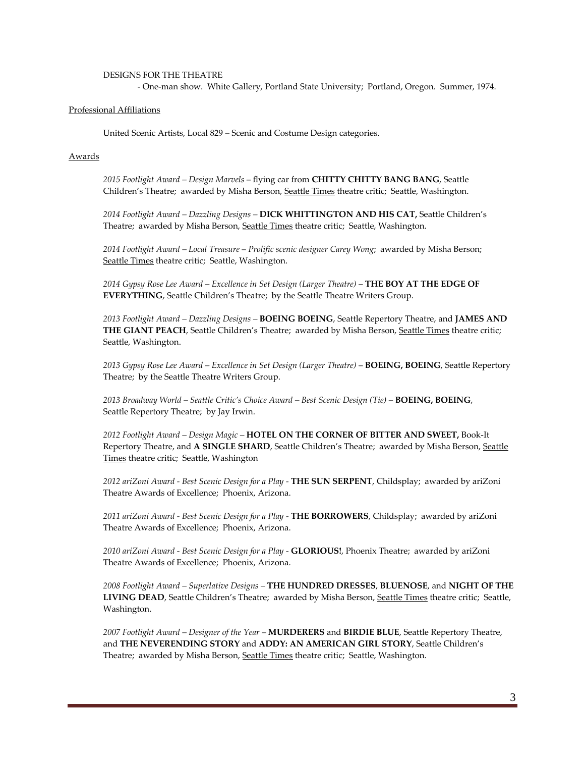#### DESIGNS FOR THE THEATRE

- One-man show. White Gallery, Portland State University; Portland, Oregon. Summer, 1974.

# Professional Affiliations

United Scenic Artists, Local 829 – Scenic and Costume Design categories.

## Awards

*2015 Footlight Award – Design Marvels* – flying car from **CHITTY CHITTY BANG BANG**, Seattle Children's Theatre; awarded by Misha Berson, Seattle Times theatre critic; Seattle, Washington.

*2014 Footlight Award – Dazzling Designs –* **DICK WHITTINGTON AND HIS CAT,** Seattle Children's Theatre; awarded by Misha Berson, Seattle Times theatre critic; Seattle, Washington.

*2014 Footlight Award – Local Treasure* – *Prolific scenic designer Carey Wong*; awarded by Misha Berson; Seattle Times theatre critic; Seattle, Washington.

*2014 Gypsy Rose Lee Award – Excellence in Set Design (Larger Theatre)* – **THE BOY AT THE EDGE OF EVERYTHING**, Seattle Children's Theatre; by the Seattle Theatre Writers Group.

*2013 Footlight Award – Dazzling Designs –* **BOEING BOEING**, Seattle Repertory Theatre, and **JAMES AND**  THE GIANT PEACH, Seattle Children's Theatre; awarded by Misha Berson, Seattle Times theatre critic; Seattle, Washington.

*2013 Gypsy Rose Lee Award – Excellence in Set Design (Larger Theatre)* – **BOEING, BOEING**, Seattle Repertory Theatre; by the Seattle Theatre Writers Group.

*2013 Broadway World – Seattle Critic's Choice Award – Best Scenic Design (Tie)* – **BOEING, BOEING**, Seattle Repertory Theatre; by Jay Irwin.

*2012 Footlight Award – Design Magic –* **HOTEL ON THE CORNER OF BITTER AND SWEET,** Book-It Repertory Theatre, and A SINGLE SHARD, Seattle Children's Theatre; awarded by Misha Berson, Seattle Times theatre critic; Seattle, Washington

*2012 ariZoni Award - Best Scenic Design for a Play -* **THE SUN SERPENT**, Childsplay; awarded by ariZoni Theatre Awards of Excellence; Phoenix, Arizona.

*2011 ariZoni Award - Best Scenic Design for a Play -* **THE BORROWERS**, Childsplay; awarded by ariZoni Theatre Awards of Excellence; Phoenix, Arizona.

*2010 ariZoni Award - Best Scenic Design for a Play -* **GLORIOUS!**, Phoenix Theatre; awarded by ariZoni Theatre Awards of Excellence; Phoenix, Arizona.

*2008 Footlight Award – Superlative Designs –* **THE HUNDRED DRESSES**, **BLUENOSE**, and **NIGHT OF THE**  LIVING DEAD, Seattle Children's Theatre; awarded by Misha Berson, Seattle Times theatre critic; Seattle, Washington.

*2007 Footlight Award – Designer of the Year –* **MURDERERS** and **BIRDIE BLUE**, Seattle Repertory Theatre, and **THE NEVERENDING STORY** and **ADDY: AN AMERICAN GIRL STORY**, Seattle Children's Theatre; awarded by Misha Berson, Seattle Times theatre critic; Seattle, Washington.